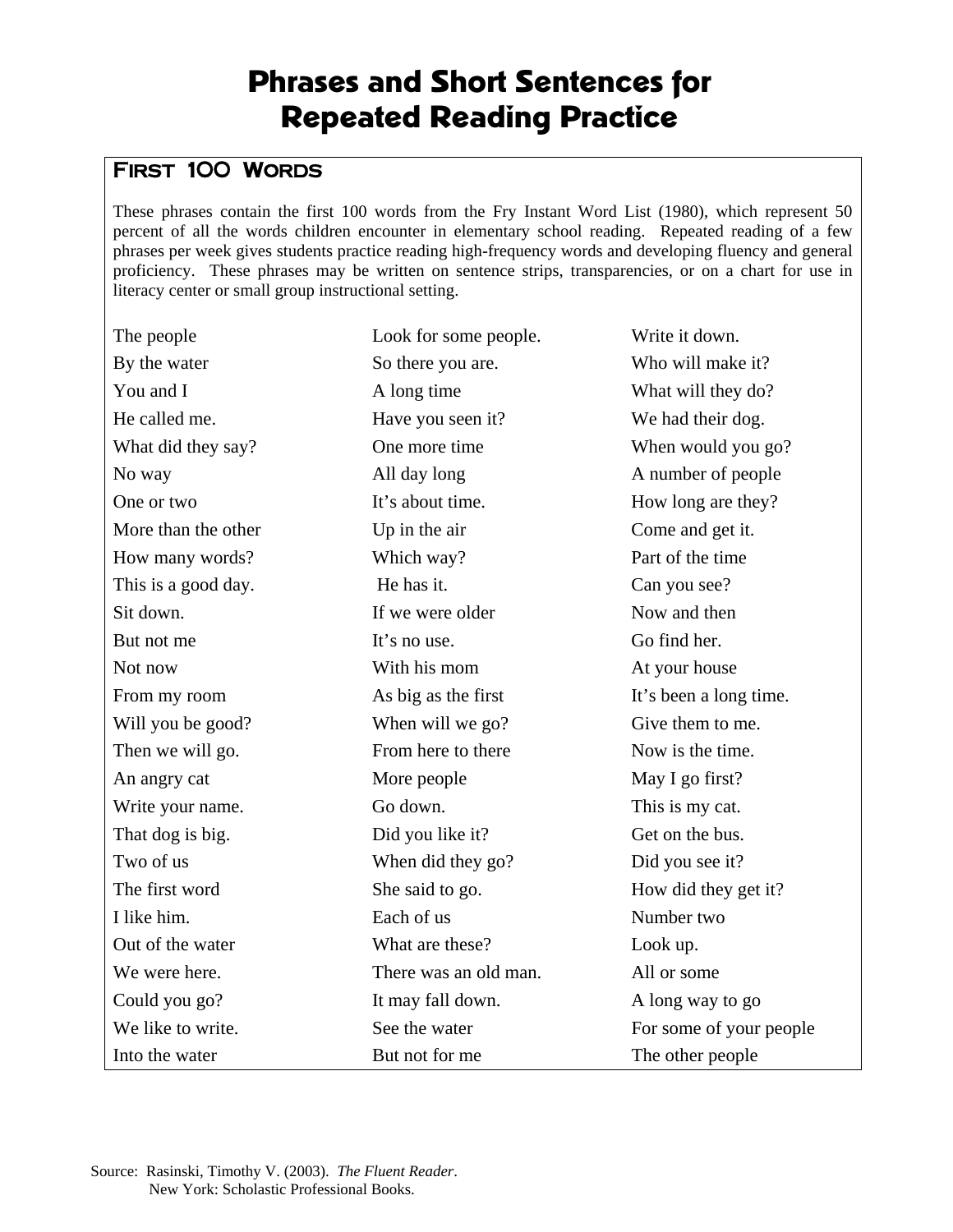## Phrases and Short Sentences for Repeated Reading Practice

#### FIRST 100 WORDS

These phrases contain the first 100 words from the Fry Instant Word List (1980), which represent 50 percent of all the words children encounter in elementary school reading. Repeated reading of a few phrases per week gives students practice reading high-frequency words and developing fluency and general proficiency. These phrases may be written on sentence strips, transparencies, or on a chart for use in literacy center or small group instructional setting.

| The people          | Look for some people. | Write it down.          |
|---------------------|-----------------------|-------------------------|
| By the water        | So there you are.     | Who will make it?       |
| You and I           | A long time           | What will they do?      |
| He called me.       | Have you seen it?     | We had their dog.       |
| What did they say?  | One more time         | When would you go?      |
| No way              | All day long          | A number of people      |
| One or two          | It's about time.      | How long are they?      |
| More than the other | Up in the air         | Come and get it.        |
| How many words?     | Which way?            | Part of the time        |
| This is a good day. | He has it.            | Can you see?            |
| Sit down.           | If we were older      | Now and then            |
| But not me          | It's no use.          | Go find her.            |
| Not now             | With his mom          | At your house           |
| From my room        | As big as the first   | It's been a long time.  |
| Will you be good?   | When will we go?      | Give them to me.        |
| Then we will go.    | From here to there    | Now is the time.        |
| An angry cat        | More people           | May I go first?         |
| Write your name.    | Go down.              | This is my cat.         |
| That dog is big.    | Did you like it?      | Get on the bus.         |
| Two of us           | When did they go?     | Did you see it?         |
| The first word      | She said to go.       | How did they get it?    |
| I like him.         | Each of us            | Number two              |
| Out of the water    | What are these?       | Look up.                |
| We were here.       | There was an old man. | All or some             |
| Could you go?       | It may fall down.     | A long way to go        |
| We like to write.   | See the water         | For some of your people |
| Into the water      | But not for me        | The other people        |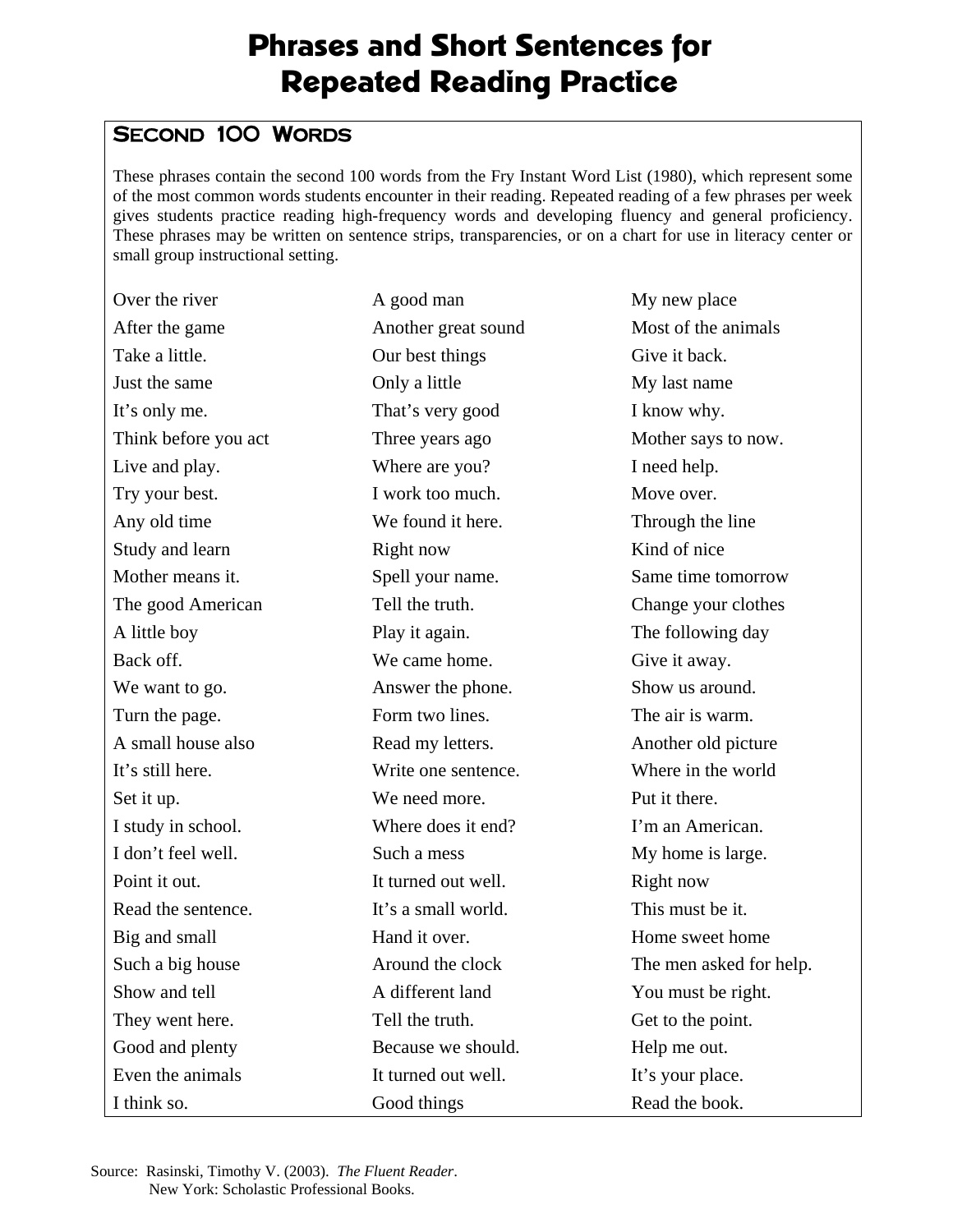## Phrases and Short Sentences for Repeated Reading Practice

#### Second 100 Words

These phrases contain the second 100 words from the Fry Instant Word List (1980), which represent some of the most common words students encounter in their reading. Repeated reading of a few phrases per week gives students practice reading high-frequency words and developing fluency and general proficiency. These phrases may be written on sentence strips, transparencies, or on a chart for use in literacy center or small group instructional setting.

Over the river A good man My new place After the game Another great sound Most of the animals Take a little. Curbest things Give it back. Just the same Only a little My last name It's only me. That's very good I know why. Think before you act Three years ago Mother says to now. Live and play. Where are you? I need help. Try your best. I work too much. Move over. Any old time We found it here. Through the line Study and learn **Right now** Kind of nice Mother means it. Spell your name. Same time tomorrow The good American Tell the truth. Change your clothes A little boy **Play it again.** The following day Back off. We came home. Give it away. We want to go. Answer the phone. Show us around. Turn the page. Form two lines. The air is warm. A small house also **Read my letters.** Another old picture It's still here. Write one sentence. Where in the world Set it up. We need more. Put it there. I study in school. Where does it end? I'm an American. I don't feel well. Such a mess My home is large. Point it out. It turned out well. Right now Read the sentence. It's a small world. This must be it. Big and small **Hand** it over. Home sweet home Such a big house Around the clock The men asked for help. Show and tell A different land You must be right. They went here. Tell the truth. Get to the point. Good and plenty Because we should. Help me out. Even the animals It turned out well. It's your place. I think so. Good things Read the book.